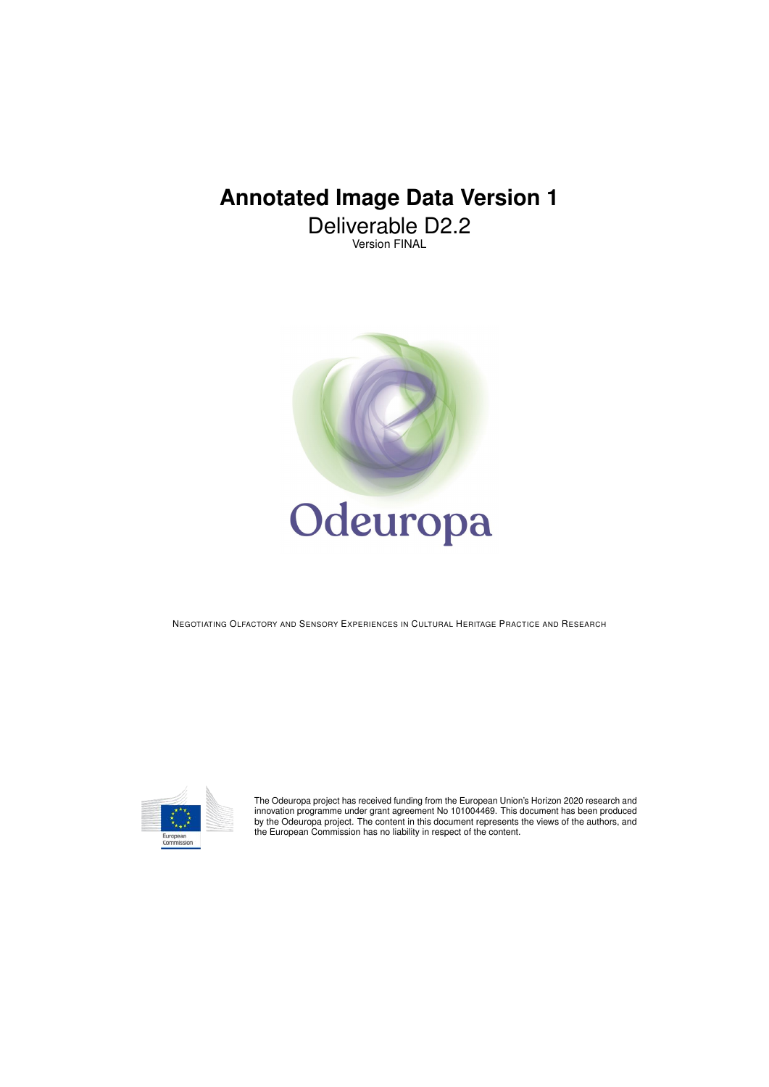# **Annotated Image Data Version 1**

Deliverable D2.2 Version FINAL



NEGOTIATING OLFACTORY AND SENSORY EXPERIENCES IN CULTURAL HERITAGE PRACTICE AND RESEARCH



The Odeuropa project has received funding from the European Union's Horizon 2020 research and<br>innovation programme under grant agreement No 101004469. This document has been produced<br>by the Odeuropa project. The content in the European Commission has no liability in respect of the content.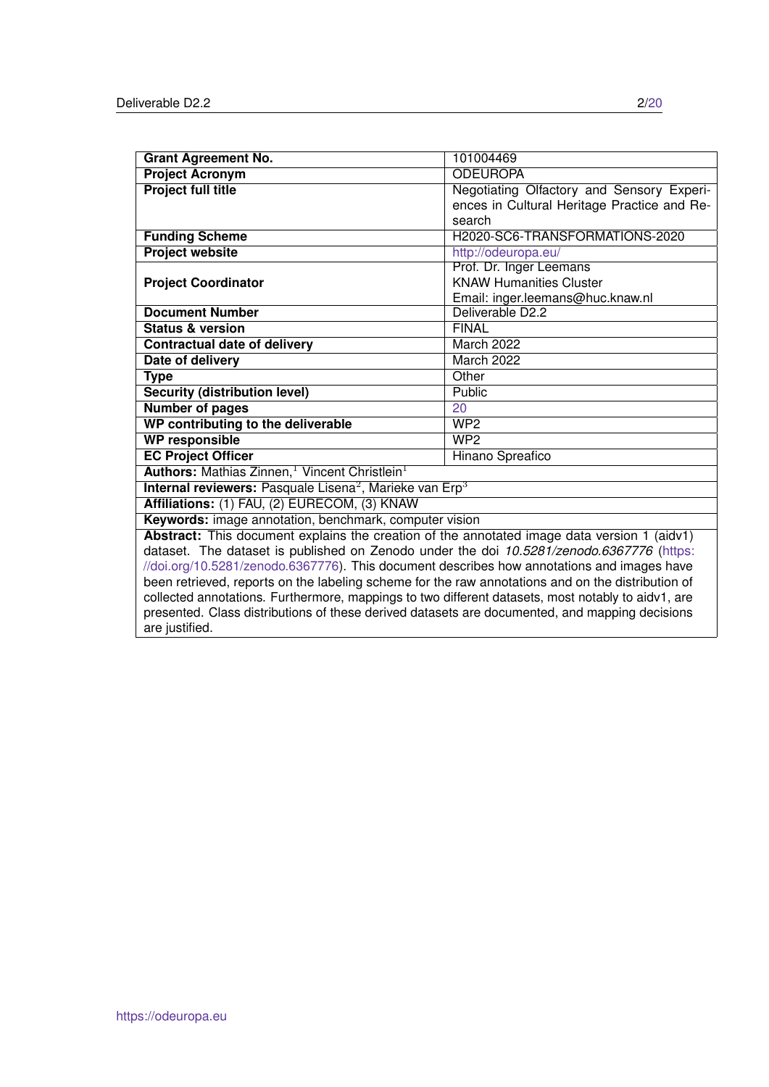| <b>Grant Agreement No.</b>                                                                         | 101004469                                   |  |
|----------------------------------------------------------------------------------------------------|---------------------------------------------|--|
| <b>Project Acronym</b>                                                                             | <b>ODEUROPA</b>                             |  |
| <b>Project full title</b>                                                                          | Negotiating Olfactory and Sensory Experi-   |  |
|                                                                                                    | ences in Cultural Heritage Practice and Re- |  |
|                                                                                                    | search                                      |  |
| <b>Funding Scheme</b>                                                                              | H2020-SC6-TRANSFORMATIONS-2020              |  |
| <b>Project website</b>                                                                             | http://odeuropa.eu/                         |  |
|                                                                                                    | Prof. Dr. Inger Leemans                     |  |
| <b>Project Coordinator</b>                                                                         | <b>KNAW Humanities Cluster</b>              |  |
|                                                                                                    | Email: inger.leemans@huc.knaw.nl            |  |
| <b>Document Number</b>                                                                             | Deliverable D2.2                            |  |
| <b>Status &amp; version</b>                                                                        | <b>FINAL</b>                                |  |
| <b>Contractual date of delivery</b>                                                                | March 2022                                  |  |
| Date of delivery                                                                                   | March 2022                                  |  |
| <b>Type</b>                                                                                        | Other                                       |  |
| <b>Security (distribution level)</b>                                                               | Public                                      |  |
| <b>Number of pages</b>                                                                             | 20                                          |  |
| WP contributing to the deliverable                                                                 | WP2                                         |  |
| <b>WP responsible</b>                                                                              | WP2                                         |  |
| <b>EC Project Officer</b>                                                                          | Hinano Spreafico                            |  |
| Authors: Mathias Zinnen, <sup>1</sup> Vincent Christlein <sup>1</sup>                              |                                             |  |
| Internal reviewers: Pasquale Lisena <sup>2</sup> , Marieke van Erp <sup>3</sup>                    |                                             |  |
| Affiliations: (1) FAU, (2) EURECOM, (3) KNAW                                                       |                                             |  |
| Keywords: image annotation, benchmark, computer vision                                             |                                             |  |
| Abstract: This document explains the creation of the annotated image data version 1 (aidv1)        |                                             |  |
| dataset. The dataset is published on Zenodo under the doi 10.5281/zenodo.6367776 (https:           |                                             |  |
| //doi.org/10.5281/zenodo.6367776). This document describes how annotations and images have         |                                             |  |
| been retrieved, reports on the labeling scheme for the raw annotations and on the distribution of  |                                             |  |
| collected annotations. Furthermore, mappings to two different datasets, most notably to aidv1, are |                                             |  |
| presented. Class distributions of these derived datasets are documented, and mapping decisions     |                                             |  |
| are justified.                                                                                     |                                             |  |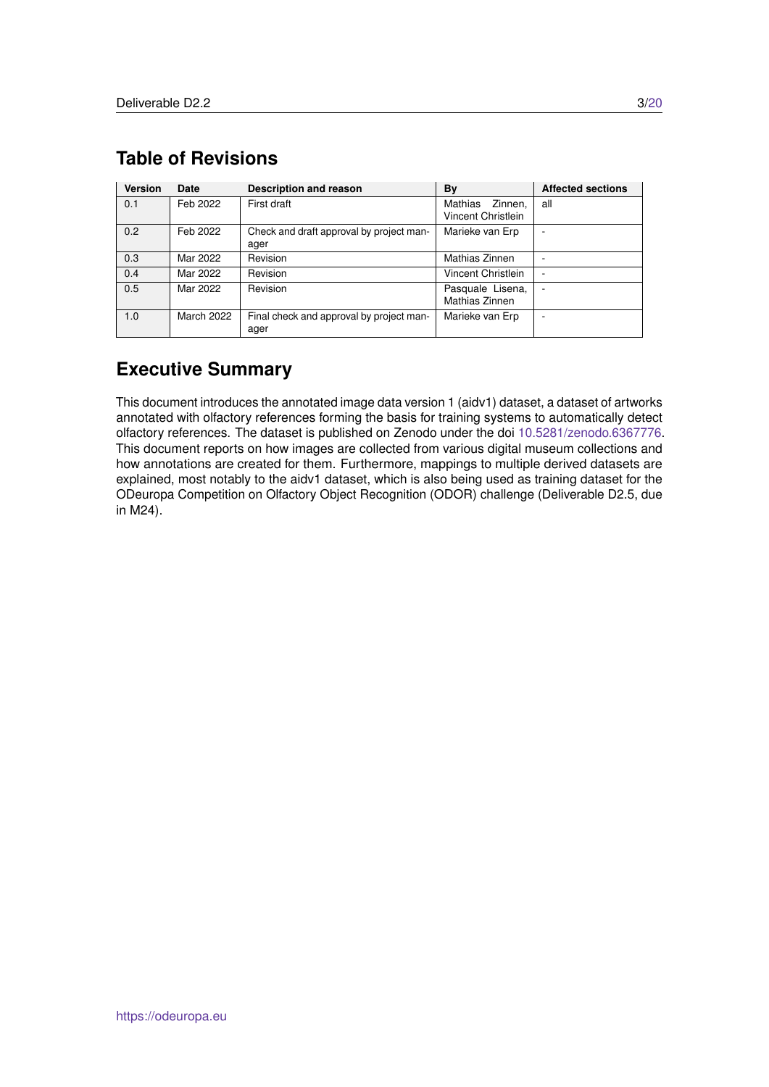| <b>Version</b> | <b>Date</b> | <b>Description and reason</b>                    | <b>By</b>                                | <b>Affected sections</b> |
|----------------|-------------|--------------------------------------------------|------------------------------------------|--------------------------|
| 0.1            | Feb 2022    | First draft                                      | Mathias<br>Zinnen.<br>Vincent Christlein | all                      |
| 0.2            | Feb 2022    | Check and draft approval by project man-<br>ager | Marieke van Erp                          | ۰                        |
| 0.3            | Mar 2022    | Revision                                         | Mathias Zinnen                           | ۰                        |
| 0.4            | Mar 2022    | Revision                                         | Vincent Christlein                       | ۰                        |
| 0.5            | Mar 2022    | Revision                                         | Pasquale Lisena,<br>Mathias Zinnen       | ٠                        |
| 1.0            | March 2022  | Final check and approval by project man-<br>ager | Marieke van Erp                          | ۰                        |

## <span id="page-2-0"></span>**Table of Revisions**

## **Executive Summary**

This document introduces the annotated image data version 1 (aidv1) dataset, a dataset of artworks annotated with olfactory references forming the basis for training systems to automatically detect olfactory references. The dataset is published on Zenodo under the doi [10.5281/zenodo.6367776.](https://zenodo.org/record/6367776) This document reports on how images are collected from various digital museum collections and how annotations are created for them. Furthermore, mappings to multiple derived datasets are explained, most notably to the aidv1 dataset, which is also being used as training dataset for the ODeuropa Competition on Olfactory Object Recognition (ODOR) challenge (Deliverable D2.5, due in M24).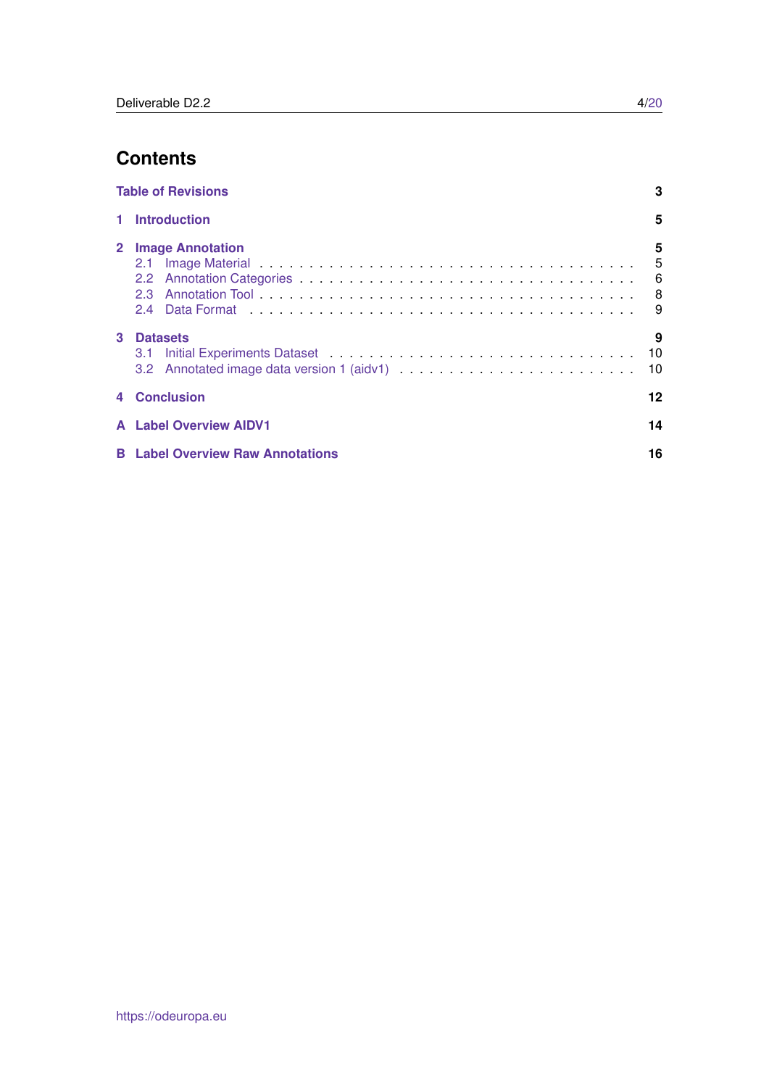## **Contents**

|   | <b>Table of Revisions</b>               | 3                |
|---|-----------------------------------------|------------------|
|   | 1 Introduction                          | 5                |
|   | 2 Image Annotation                      | 5<br>$5^{\circ}$ |
| 3 | <b>Datasets</b>                         | 9<br>10<br>10    |
|   | 4 Conclusion                            | 12               |
|   | <b>A</b> Label Overview AIDV1           | 14               |
|   | <b>B</b> Label Overview Raw Annotations | 16               |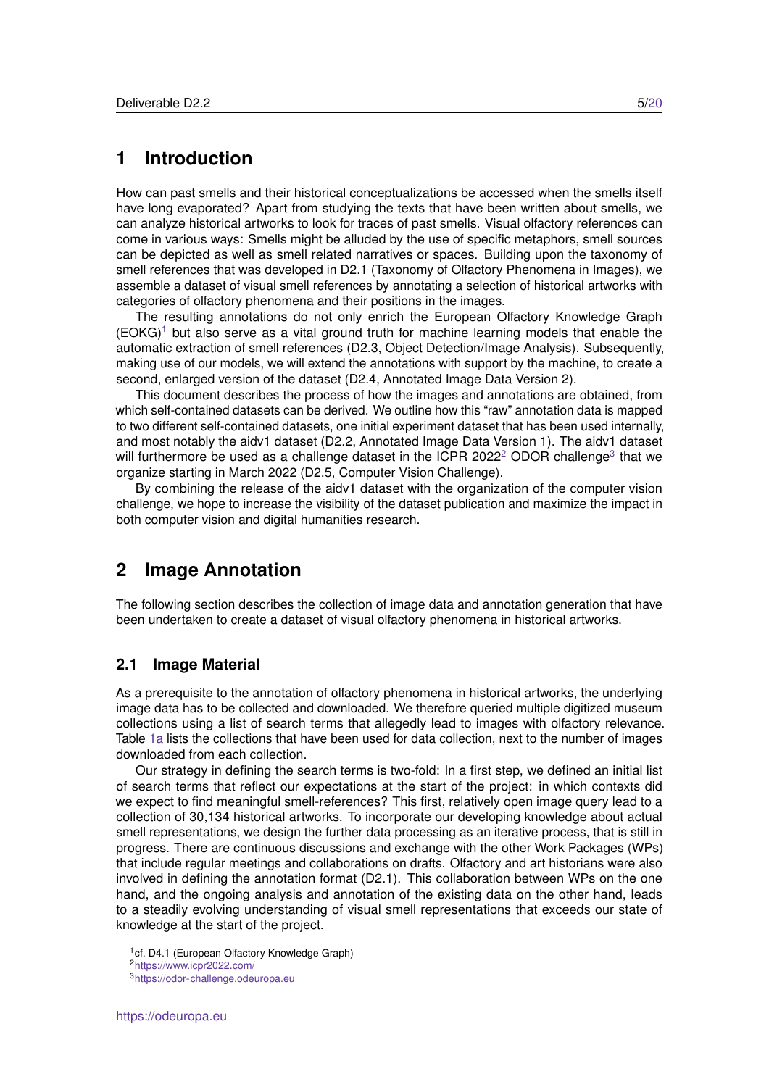## <span id="page-4-0"></span>**1 Introduction**

How can past smells and their historical conceptualizations be accessed when the smells itself have long evaporated? Apart from studying the texts that have been written about smells, we can analyze historical artworks to look for traces of past smells. Visual olfactory references can come in various ways: Smells might be alluded by the use of specific metaphors, smell sources can be depicted as well as smell related narratives or spaces. Building upon the taxonomy of smell references that was developed in D2.1 (Taxonomy of Olfactory Phenomena in Images), we assemble a dataset of visual smell references by annotating a selection of historical artworks with categories of olfactory phenomena and their positions in the images.

The resulting annotations do not only enrich the European Olfactory Knowledge Graph  $(EOKG)^1$  $(EOKG)^1$  but also serve as a vital ground truth for machine learning models that enable the automatic extraction of smell references (D2.3, Object Detection/Image Analysis). Subsequently, making use of our models, we will extend the annotations with support by the machine, to create a second, enlarged version of the dataset (D2.4, Annotated Image Data Version 2).

This document describes the process of how the images and annotations are obtained, from which self-contained datasets can be derived. We outline how this "raw" annotation data is mapped to two different self-contained datasets, one initial experiment dataset that has been used internally, and most notably the aidv1 dataset (D2.2, Annotated Image Data Version 1). The aidv1 dataset will furthermore be used as a challenge dataset in the ICPR [2](#page-4-4)022<sup>2</sup> ODOR challenge<sup>[3](#page-4-5)</sup> that we organize starting in March 2022 (D2.5, Computer Vision Challenge).

By combining the release of the aidv1 dataset with the organization of the computer vision challenge, we hope to increase the visibility of the dataset publication and maximize the impact in both computer vision and digital humanities research.

## <span id="page-4-1"></span>**2 Image Annotation**

The following section describes the collection of image data and annotation generation that have been undertaken to create a dataset of visual olfactory phenomena in historical artworks.

#### <span id="page-4-2"></span>**2.1 Image Material**

As a prerequisite to the annotation of olfactory phenomena in historical artworks, the underlying image data has to be collected and downloaded. We therefore queried multiple digitized museum collections using a list of search terms that allegedly lead to images with olfactory relevance. Table [1a](#page-5-1) lists the collections that have been used for data collection, next to the number of images downloaded from each collection.

Our strategy in defining the search terms is two-fold: In a first step, we defined an initial list of search terms that reflect our expectations at the start of the project: in which contexts did we expect to find meaningful smell-references? This first, relatively open image query lead to a collection of 30,134 historical artworks. To incorporate our developing knowledge about actual smell representations, we design the further data processing as an iterative process, that is still in progress. There are continuous discussions and exchange with the other Work Packages (WPs) that include regular meetings and collaborations on drafts. Olfactory and art historians were also involved in defining the annotation format (D2.1). This collaboration between WPs on the one hand, and the ongoing analysis and annotation of the existing data on the other hand, leads to a steadily evolving understanding of visual smell representations that exceeds our state of knowledge at the start of the project.

<span id="page-4-3"></span><sup>&</sup>lt;sup>1</sup>cf. D4.1 (European Olfactory Knowledge Graph)

<span id="page-4-4"></span><sup>2</sup><https://www.icpr2022.com/>

<span id="page-4-5"></span><sup>3</sup><https://odor-challenge.odeuropa.eu>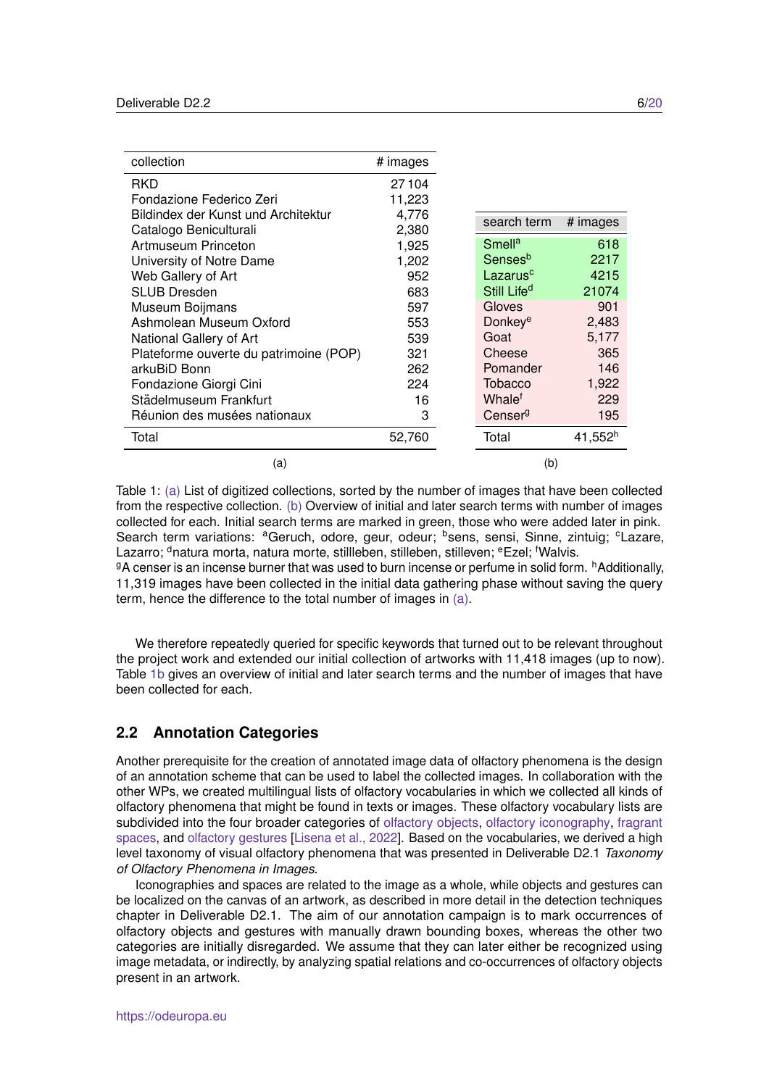<span id="page-5-1"></span>

| collection                             | # images |                         |                     |
|----------------------------------------|----------|-------------------------|---------------------|
| RKD                                    | 27104    |                         |                     |
| Fondazione Federico Zeri               | 11,223   |                         |                     |
| Bildindex der Kunst und Architektur    | 4,776    | search term             | # images            |
| Catalogo Beniculturali                 | 2,380    |                         |                     |
| Artmuseum Princeton                    | 1,925    | Smell <sup>a</sup>      | 618                 |
| University of Notre Dame               | 1,202    | Sensesb                 | 2217                |
| Web Gallery of Art                     | 952      | Lazarus <sup>c</sup>    | 4215                |
| <b>SLUB Dresden</b>                    | 683      | Still Life <sup>d</sup> | 21074               |
| Museum Boijmans                        | 597      | Gloves                  | 901                 |
| Ashmolean Museum Oxford                | 553      | Donkey <sup>e</sup>     | 2,483               |
| National Gallery of Art                | 539      | Goat                    | 5,177               |
| Plateforme ouverte du patrimoine (POP) | 321      | Cheese                  | 365                 |
| arkuBiD Bonn                           | 262      | Pomander                | 146                 |
| Fondazione Giorgi Cini                 | 224      | <b>Tobacco</b>          | 1,922               |
| Städelmuseum Frankfurt                 | 16       | Whale <sup>t</sup>      | 229                 |
| Réunion des musées nationaux           | 3        | Censer <sup>g</sup>     | 195                 |
| Total                                  | 52,760   | Total                   | 41,552 <sup>h</sup> |
| (a)                                    |          | (b)                     |                     |

Table 1: [\(a\)](#page-5-1) List of digitized collections, sorted by the number of images that have been collected from the respective collection. [\(b\)](#page-5-1) Overview of initial and later search terms with number of images collected for each. Initial search terms are marked in green, those who were added later in pink. Search term variations: <sup>a</sup>Geruch, odore, geur, odeur; <sup>b</sup>sens, sensi, Sinne, zintuig; <sup>c</sup>Lazare, Lazarro; <sup>d</sup>natura morta, natura morte, stillleben, stilleben, stilleven; <sup>e</sup>Ezel; <sup>f</sup>Walvis.  $9A$  censer is an incense burner that was used to burn incense or perfume in solid form.  $^h$ Additionally,

11,319 images have been collected in the initial data gathering phase without saving the query term, hence the difference to the total number of images in [\(a\).](#page-5-1)

We therefore repeatedly queried for specific keywords that turned out to be relevant throughout the project work and extended our initial collection of artworks with 11,418 images (up to now). Table [1b](#page-5-1) gives an overview of initial and later search terms and the number of images that have been collected for each.

#### <span id="page-5-0"></span>**2.2 Annotation Categories**

Another prerequisite for the creation of annotated image data of olfactory phenomena is the design of an annotation scheme that can be used to label the collected images. In collaboration with the other WPs, we created multilingual lists of olfactory vocabularies in which we collected all kinds of olfactory phenomena that might be found in texts or images. These olfactory vocabulary lists are subdivided into the four broader categories of [olfactory objects,](https://docs.google.com/spreadsheets/d/1tFAdYYLcqwtfySOZYKxRC6fqU3zmFVuRgioeVIv6HSw/edit?usp=sharing) [olfactory iconography,](https://docs.google.com/spreadsheets/d/1pJOm2t_u4PgoqEF-JerT7ZgBKhcuSPFlnCvLG3C6k7o/edit?usp=sharing) [fragrant](https://docs.google.com/spreadsheets/d/1HU7iUixOwhp3pk3WeIChYLPEu4X1XamI688AyNfog48/edit?usp=sharing) [spaces,](https://docs.google.com/spreadsheets/d/1HU7iUixOwhp3pk3WeIChYLPEu4X1XamI688AyNfog48/edit?usp=sharing) and [olfactory gestures](https://docs.google.com/spreadsheets/d/1uwXsMIRmZOv9KEtSsdD4RXGToiNgAjpIvIIJvO_MKJw/edit?usp=sharing) [\[Lisena et al., 2022\]](#page-12-0). Based on the vocabularies, we derived a high level taxonomy of visual olfactory phenomena that was presented in Deliverable D2.1 *Taxonomy of Olfactory Phenomena in Images*.

Iconographies and spaces are related to the image as a whole, while objects and gestures can be localized on the canvas of an artwork, as described in more detail in the detection techniques chapter in Deliverable D2.1. The aim of our annotation campaign is to mark occurrences of olfactory objects and gestures with manually drawn bounding boxes, whereas the other two categories are initially disregarded. We assume that they can later either be recognized using image metadata, or indirectly, by analyzing spatial relations and co-occurrences of olfactory objects present in an artwork.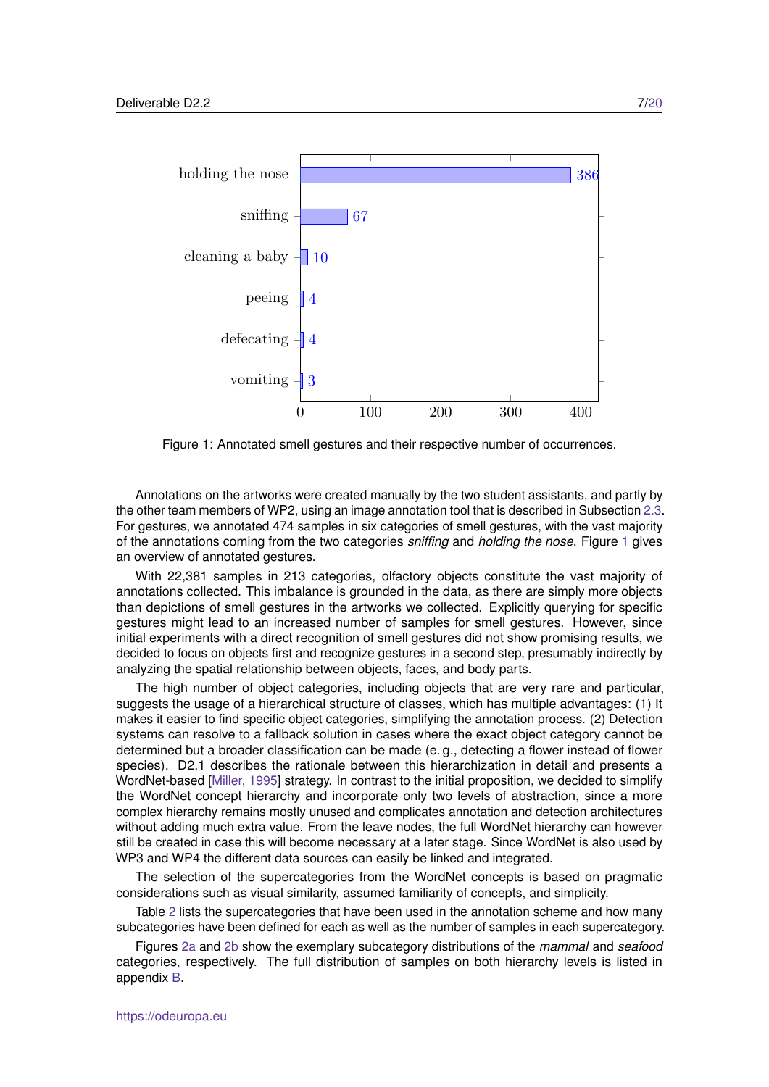<span id="page-6-0"></span>

Figure 1: Annotated smell gestures and their respective number of occurrences.

Annotations on the artworks were created manually by the two student assistants, and partly by the other team members of WP2, using an image annotation tool that is described in Subsection [2.3.](#page-7-0) For gestures, we annotated 474 samples in six categories of smell gestures, with the vast majority of the annotations coming from the two categories *sniffing* and *holding the nose*. Figure [1](#page-6-0) gives an overview of annotated gestures.

With 22,381 samples in 213 categories, olfactory objects constitute the vast majority of annotations collected. This imbalance is grounded in the data, as there are simply more objects than depictions of smell gestures in the artworks we collected. Explicitly querying for specific gestures might lead to an increased number of samples for smell gestures. However, since initial experiments with a direct recognition of smell gestures did not show promising results, we decided to focus on objects first and recognize gestures in a second step, presumably indirectly by analyzing the spatial relationship between objects, faces, and body parts.

The high number of object categories, including objects that are very rare and particular, suggests the usage of a hierarchical structure of classes, which has multiple advantages: (1) It makes it easier to find specific object categories, simplifying the annotation process. (2) Detection systems can resolve to a fallback solution in cases where the exact object category cannot be determined but a broader classification can be made (e. g., detecting a flower instead of flower species). D2.1 describes the rationale between this hierarchization in detail and presents a WordNet-based [\[Miller, 1995\]](#page-12-1) strategy. In contrast to the initial proposition, we decided to simplify the WordNet concept hierarchy and incorporate only two levels of abstraction, since a more complex hierarchy remains mostly unused and complicates annotation and detection architectures without adding much extra value. From the leave nodes, the full WordNet hierarchy can however still be created in case this will become necessary at a later stage. Since WordNet is also used by WP3 and WP4 the different data sources can easily be linked and integrated.

The selection of the supercategories from the WordNet concepts is based on pragmatic considerations such as visual similarity, assumed familiarity of concepts, and simplicity.

Table [2](#page-7-1) lists the supercategories that have been used in the annotation scheme and how many subcategories have been defined for each as well as the number of samples in each supercategory.

Figures [2a](#page-7-2) and [2b](#page-7-2) show the exemplary subcategory distributions of the *mammal* and *seafood* categories, respectively. The full distribution of samples on both hierarchy levels is listed in appendix [B.](#page-15-0)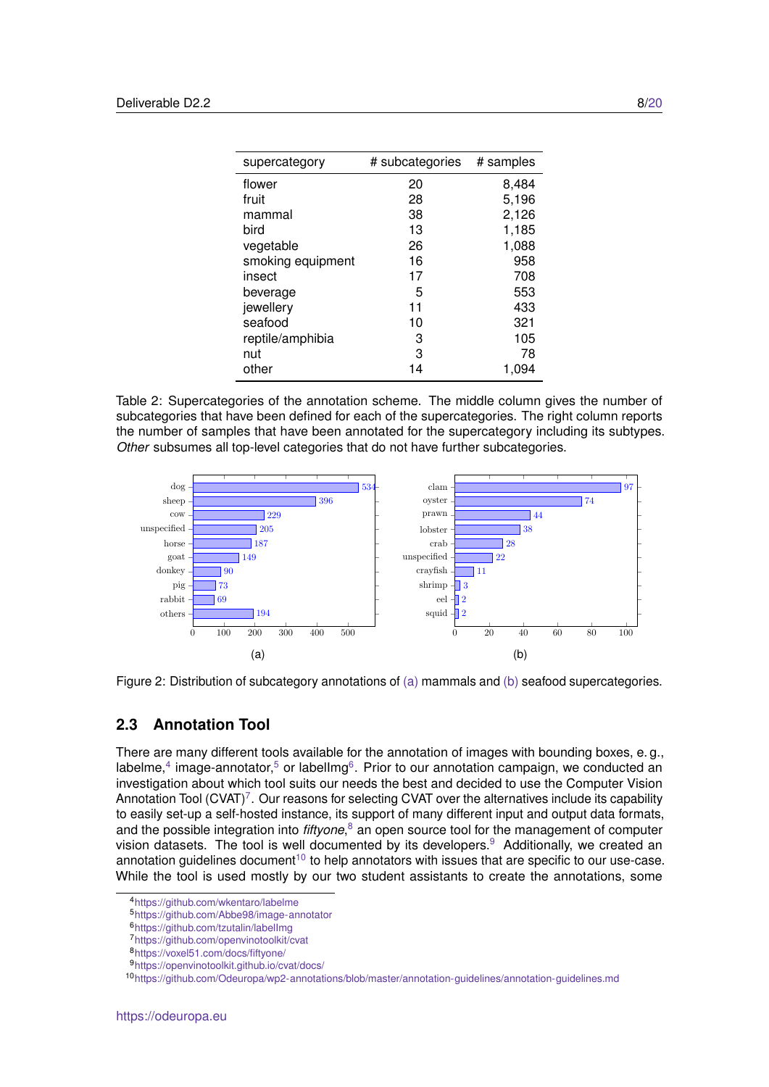<span id="page-7-1"></span>

| supercategory     | # subcategories | # samples |
|-------------------|-----------------|-----------|
| flower            | 20              | 8,484     |
| fruit             | 28              | 5,196     |
| mammal            | 38              | 2,126     |
| bird              | 13              | 1,185     |
| vegetable         | 26              | 1,088     |
| smoking equipment | 16              | 958       |
| insect            | 17              | 708       |
| beverage          | 5               | 553       |
| jewellery         | 11              | 433       |
| seafood           | 10              | 321       |
| reptile/amphibia  | 3               | 105       |
| nut               | 3               | 78        |
| other             | 14              | 1,094     |

Table 2: Supercategories of the annotation scheme. The middle column gives the number of subcategories that have been defined for each of the supercategories. The right column reports the number of samples that have been annotated for the supercategory including its subtypes. *Other* subsumes all top-level categories that do not have further subcategories.

<span id="page-7-2"></span>



#### <span id="page-7-0"></span>**2.3 Annotation Tool**

There are many different tools available for the annotation of images with bounding boxes, e. g., labelme, $4$  image-annotator, $5$  or labellmg $6$ . Prior to our annotation campaign, we conducted an investigation about which tool suits our needs the best and decided to use the Computer Vision Annotation Tool (CVAT)<sup>[7](#page-7-6)</sup>. Our reasons for selecting CVAT over the alternatives include its capability to easily set-up a self-hosted instance, its support of many different input and output data formats, and the possible integration into *fiftyone*,<sup>[8](#page-7-7)</sup> an open source tool for the management of computer vision datasets. The tool is well documented by its developers.<sup>[9](#page-7-8)</sup> Additionally, we created an annotation guidelines document<sup>[10](#page-7-9)</sup> to help annotators with issues that are specific to our use-case. While the tool is used mostly by our two student assistants to create the annotations, some

<span id="page-7-3"></span><sup>4</sup><https://github.com/wkentaro/labelme>

<span id="page-7-4"></span><sup>5</sup><https://github.com/Abbe98/image-annotator>

<span id="page-7-5"></span><sup>6</sup><https://github.com/tzutalin/labelImg>

<span id="page-7-6"></span><sup>7</sup><https://github.com/openvinotoolkit/cvat>

<span id="page-7-7"></span><sup>8</sup><https://voxel51.com/docs/fiftyone/>

<span id="page-7-8"></span><sup>9</sup><https://openvinotoolkit.github.io/cvat/docs/>

<span id="page-7-9"></span><sup>10</sup><https://github.com/Odeuropa/wp2-annotations/blob/master/annotation-guidelines/annotation-guidelines.md>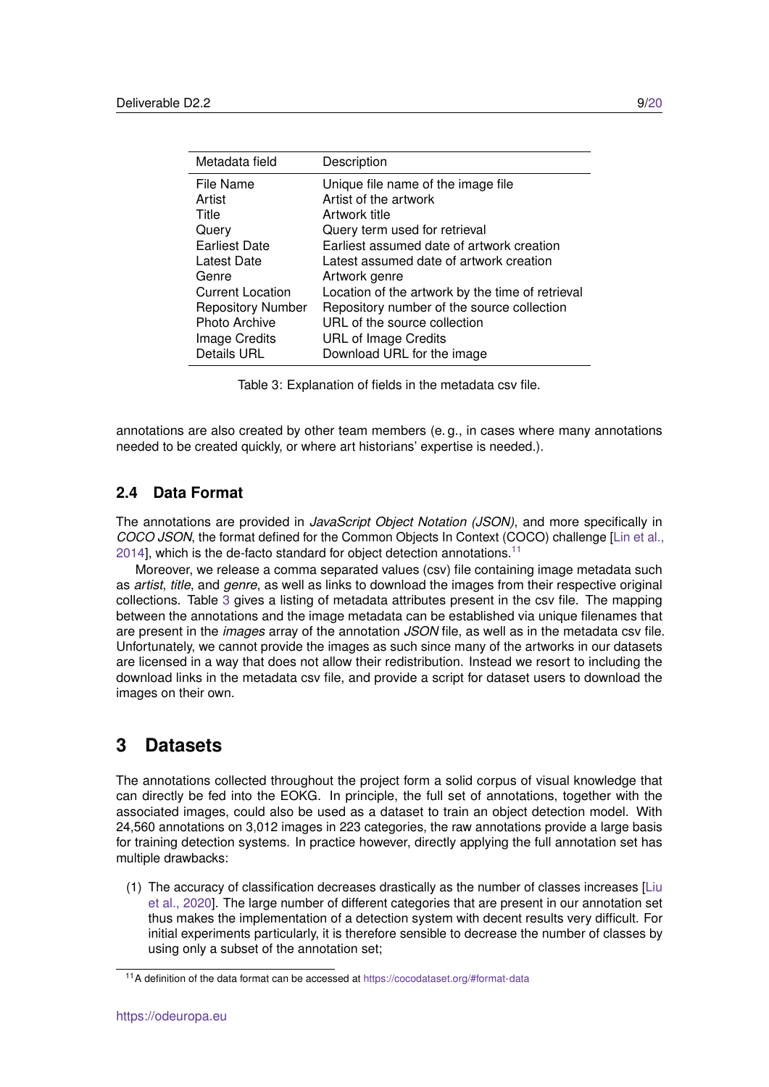<span id="page-8-3"></span>

| Description                                      |
|--------------------------------------------------|
| Unique file name of the image file               |
| Artist of the artwork                            |
| Artwork title                                    |
| Query term used for retrieval                    |
| Earliest assumed date of artwork creation        |
| Latest assumed date of artwork creation          |
| Artwork genre                                    |
| Location of the artwork by the time of retrieval |
| Repository number of the source collection       |
| URL of the source collection                     |
| <b>URL of Image Credits</b>                      |
| Download URL for the image                       |
|                                                  |

Table 3: Explanation of fields in the metadata csv file.

annotations are also created by other team members (e. g., in cases where many annotations needed to be created quickly, or where art historians' expertise is needed.).

#### <span id="page-8-0"></span>**2.4 Data Format**

The annotations are provided in *JavaScript Object Notation (JSON)*, and more specifically in *COCO JSON*, the format defined for the Common Objects In Context (COCO) challenge [\[Lin et al.,](#page-12-2)  $2014$ ], which is the de-facto standard for object detection annotations.<sup>[11](#page-8-2)</sup>

Moreover, we release a comma separated values (csv) file containing image metadata such as *artist*, *title*, and *genre*, as well as links to download the images from their respective original collections. Table [3](#page-8-3) gives a listing of metadata attributes present in the csv file. The mapping between the annotations and the image metadata can be established via unique filenames that are present in the *images* array of the annotation *JSON* file, as well as in the metadata csv file. Unfortunately, we cannot provide the images as such since many of the artworks in our datasets are licensed in a way that does not allow their redistribution. Instead we resort to including the download links in the metadata csv file, and provide a script for dataset users to download the images on their own.

## <span id="page-8-1"></span>**3 Datasets**

The annotations collected throughout the project form a solid corpus of visual knowledge that can directly be fed into the EOKG. In principle, the full set of annotations, together with the associated images, could also be used as a dataset to train an object detection model. With 24,560 annotations on 3,012 images in 223 categories, the raw annotations provide a large basis for training detection systems. In practice however, directly applying the full annotation set has multiple drawbacks:

(1) The accuracy of classification decreases drastically as the number of classes increases [\[Liu](#page-12-3) [et al., 2020\]](#page-12-3). The large number of different categories that are present in our annotation set thus makes the implementation of a detection system with decent results very difficult. For initial experiments particularly, it is therefore sensible to decrease the number of classes by using only a subset of the annotation set;

<span id="page-8-2"></span><sup>11</sup>A definition of the data format can be accessed at <https://cocodataset.org/#format-data>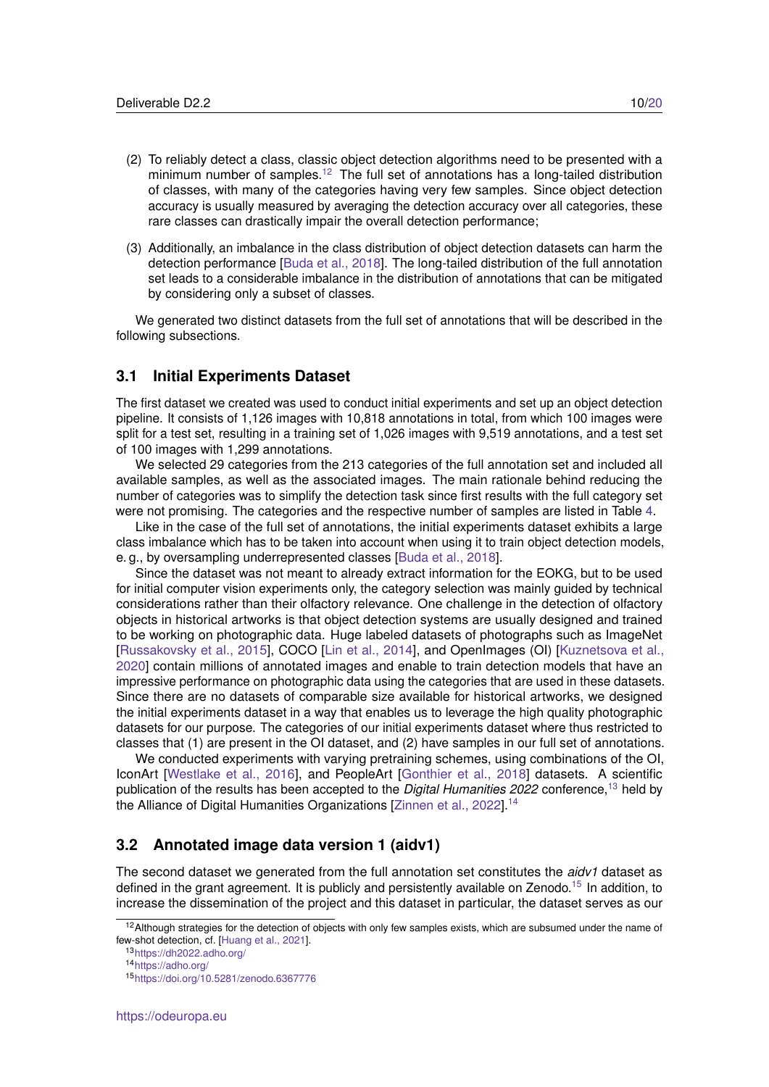- (2) To reliably detect a class, classic object detection algorithms need to be presented with a minimum number of samples.<sup>[12](#page-9-2)</sup> The full set of annotations has a long-tailed distribution of classes, with many of the categories having very few samples. Since object detection accuracy is usually measured by averaging the detection accuracy over all categories, these rare classes can drastically impair the overall detection performance;
- (3) Additionally, an imbalance in the class distribution of object detection datasets can harm the detection performance [\[Buda et al., 2018\]](#page-12-4). The long-tailed distribution of the full annotation set leads to a considerable imbalance in the distribution of annotations that can be mitigated by considering only a subset of classes.

We generated two distinct datasets from the full set of annotations that will be described in the following subsections.

#### <span id="page-9-0"></span>**3.1 Initial Experiments Dataset**

The first dataset we created was used to conduct initial experiments and set up an object detection pipeline. It consists of 1,126 images with 10,818 annotations in total, from which 100 images were split for a test set, resulting in a training set of 1,026 images with 9,519 annotations, and a test set of 100 images with 1,299 annotations.

We selected 29 categories from the 213 categories of the full annotation set and included all available samples, as well as the associated images. The main rationale behind reducing the number of categories was to simplify the detection task since first results with the full category set were not promising. The categories and the respective number of samples are listed in Table [4.](#page-10-0)

Like in the case of the full set of annotations, the initial experiments dataset exhibits a large class imbalance which has to be taken into account when using it to train object detection models, e. g., by oversampling underrepresented classes [\[Buda et al., 2018\]](#page-12-4).

Since the dataset was not meant to already extract information for the EOKG, but to be used for initial computer vision experiments only, the category selection was mainly guided by technical considerations rather than their olfactory relevance. One challenge in the detection of olfactory objects in historical artworks is that object detection systems are usually designed and trained to be working on photographic data. Huge labeled datasets of photographs such as ImageNet [\[Russakovsky et al., 2015\]](#page-12-5), COCO [\[Lin et al., 2014\]](#page-12-2), and OpenImages (OI) [\[Kuznetsova et al.,](#page-12-6) [2020\]](#page-12-6) contain millions of annotated images and enable to train detection models that have an impressive performance on photographic data using the categories that are used in these datasets. Since there are no datasets of comparable size available for historical artworks, we designed the initial experiments dataset in a way that enables us to leverage the high quality photographic datasets for our purpose. The categories of our initial experiments dataset where thus restricted to classes that (1) are present in the OI dataset, and (2) have samples in our full set of annotations.

We conducted experiments with varying pretraining schemes, using combinations of the OI, IconArt [\[Westlake et al., 2016\]](#page-12-7), and PeopleArt [\[Gonthier et al., 2018\]](#page-12-8) datasets. A scientific publication of the results has been accepted to the *Digital Humanities 2022* conference,[13](#page-9-3) held by the Alliance of Digital Humanities Organizations [\[Zinnen et al., 2022\]](#page-12-9).<sup>[14](#page-9-4)</sup>

#### <span id="page-9-1"></span>**3.2 Annotated image data version 1 (aidv1)**

The second dataset we generated from the full annotation set constitutes the *aidv1* dataset as defined in the grant agreement. It is publicly and persistently available on Zenodo.<sup>[15](#page-9-5)</sup> In addition, to increase the dissemination of the project and this dataset in particular, the dataset serves as our

<span id="page-9-2"></span> $12$ Although strategies for the detection of objects with only few samples exists, which are subsumed under the name of few-shot detection, cf. [\[Huang et al., 2021\]](#page-12-10).

<span id="page-9-3"></span><sup>13</sup><https://dh2022.adho.org/>

<span id="page-9-4"></span><sup>14</sup><https://adho.org/>

<span id="page-9-5"></span><sup>15</sup><https://doi.org/10.5281/zenodo.6367776>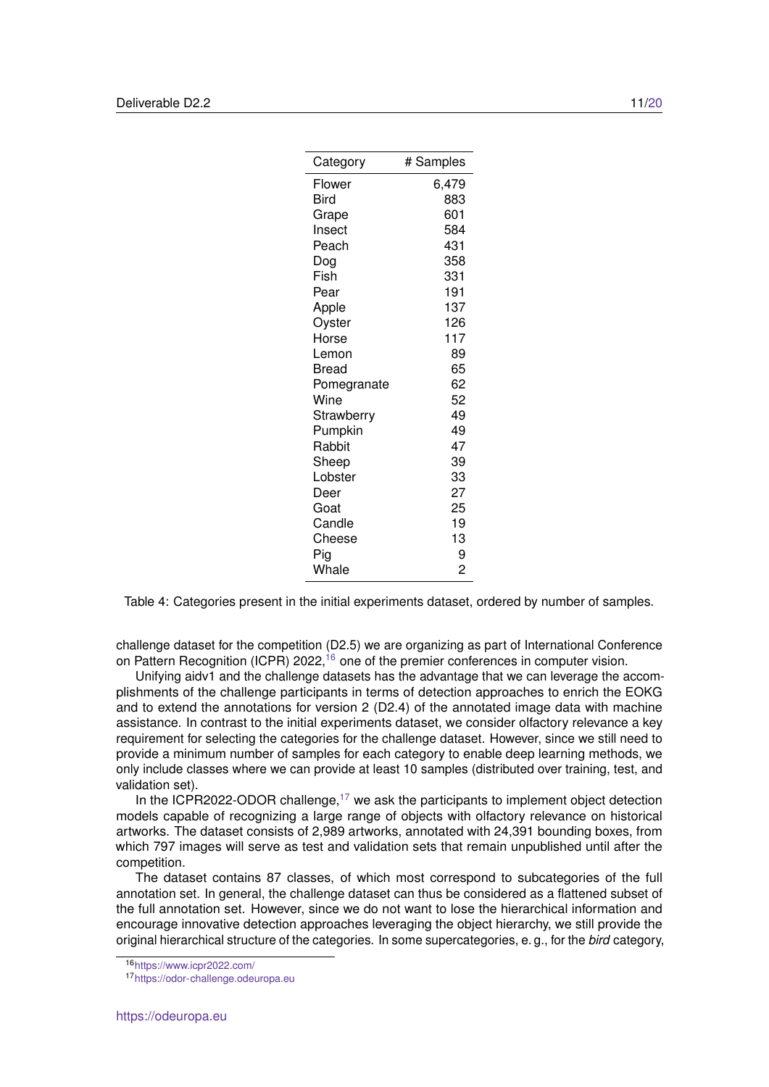<span id="page-10-0"></span>

| Category    | # Samples      |
|-------------|----------------|
|             |                |
| Flower      | 6,479          |
| Bird        | 883            |
| Grape       | 601            |
| Insect      | 584            |
| Peach       | 431            |
| Dog         | 358            |
| Fish        | 331            |
| Pear        | 191            |
| Apple       | 137            |
| Oyster      | 126            |
| Horse       | 117            |
| Lemon       | 89             |
| Bread       | 65             |
| Pomegranate | 62             |
| Wine        | 52             |
| Strawberry  | 49             |
| Pumpkin     | 49             |
| Rabbit      | 47             |
| Sheep       | 39             |
| Lobster     | 33             |
| Deer        | 27             |
| Goat        | 25             |
| Candle      | 19             |
| Cheese      | 13             |
| Pig         | 9              |
| Whale       | $\overline{c}$ |

Table 4: Categories present in the initial experiments dataset, ordered by number of samples.

challenge dataset for the competition (D2.5) we are organizing as part of International Conference on Pattern Recognition (ICPR) 2022,<sup>[16](#page-10-1)</sup> one of the premier conferences in computer vision.

Unifying aidv1 and the challenge datasets has the advantage that we can leverage the accomplishments of the challenge participants in terms of detection approaches to enrich the EOKG and to extend the annotations for version 2 (D2.4) of the annotated image data with machine assistance. In contrast to the initial experiments dataset, we consider olfactory relevance a key requirement for selecting the categories for the challenge dataset. However, since we still need to provide a minimum number of samples for each category to enable deep learning methods, we only include classes where we can provide at least 10 samples (distributed over training, test, and validation set).

In the ICPR2022-ODOR challenge,<sup>[17](#page-10-2)</sup> we ask the participants to implement object detection models capable of recognizing a large range of objects with olfactory relevance on historical artworks. The dataset consists of 2,989 artworks, annotated with 24,391 bounding boxes, from which 797 images will serve as test and validation sets that remain unpublished until after the competition.

The dataset contains 87 classes, of which most correspond to subcategories of the full annotation set. In general, the challenge dataset can thus be considered as a flattened subset of the full annotation set. However, since we do not want to lose the hierarchical information and encourage innovative detection approaches leveraging the object hierarchy, we still provide the original hierarchical structure of the categories. In some supercategories, e. g., for the *bird* category,

<span id="page-10-1"></span><sup>16</sup><https://www.icpr2022.com/>

<span id="page-10-2"></span><sup>17</sup><https://odor-challenge.odeuropa.eu>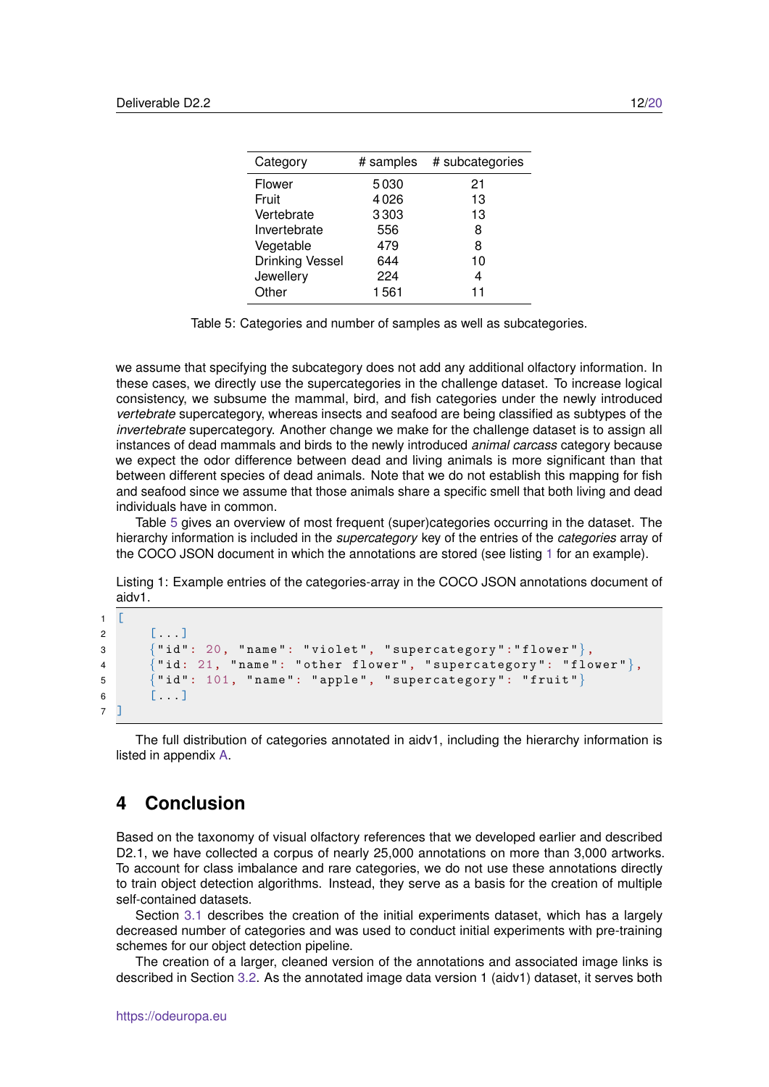<span id="page-11-1"></span>

| Category               | # samples | # subcategories |
|------------------------|-----------|-----------------|
| Flower                 | 5030      | 21              |
| Fruit                  | 4026      | 13              |
| Vertebrate             | 3303      | 13              |
| Invertebrate           | 556       | 8               |
| Vegetable              | 479       | 8               |
| <b>Drinking Vessel</b> | 644       | 10              |
| Jewellery              | 224       | 4               |
| Other                  | 1561      | 11              |
|                        |           |                 |

Table 5: Categories and number of samples as well as subcategories.

we assume that specifying the subcategory does not add any additional olfactory information. In these cases, we directly use the supercategories in the challenge dataset. To increase logical consistency, we subsume the mammal, bird, and fish categories under the newly introduced *vertebrate* supercategory, whereas insects and seafood are being classified as subtypes of the *invertebrate* supercategory. Another change we make for the challenge dataset is to assign all instances of dead mammals and birds to the newly introduced *animal carcass* category because we expect the odor difference between dead and living animals is more significant than that between different species of dead animals. Note that we do not establish this mapping for fish and seafood since we assume that those animals share a specific smell that both living and dead individuals have in common.

Table [5](#page-11-1) gives an overview of most frequent (super)categories occurring in the dataset. The hierarchy information is included in the *supercategory* key of the entries of the *categories* array of the COCO JSON document in which the annotations are stored (see listing [1](#page-11-2) for an example).

<span id="page-11-2"></span>Listing 1: Example entries of the categories-array in the COCO JSON annotations document of aidv1.

```
1 \quad \Gamma2 [...]
3 {" id ": 20, " name ": " violet ", " supercategory ":" flower "},
4 {" id: 21, " name ": " other flower ", " supercategory ": " flower "},
5 {" id ": 101, " name ": " apple ", " supercategory ": " fruit "}
6 [...]
7 ]
```
The full distribution of categories annotated in aidv1, including the hierarchy information is listed in appendix [A.](#page-13-0)

## <span id="page-11-0"></span>**4 Conclusion**

Based on the taxonomy of visual olfactory references that we developed earlier and described D2.1, we have collected a corpus of nearly 25,000 annotations on more than 3,000 artworks. To account for class imbalance and rare categories, we do not use these annotations directly to train object detection algorithms. Instead, they serve as a basis for the creation of multiple self-contained datasets.

Section [3.1](#page-9-0) describes the creation of the initial experiments dataset, which has a largely decreased number of categories and was used to conduct initial experiments with pre-training schemes for our object detection pipeline.

The creation of a larger, cleaned version of the annotations and associated image links is described in Section [3.2.](#page-9-1) As the annotated image data version 1 (aidv1) dataset, it serves both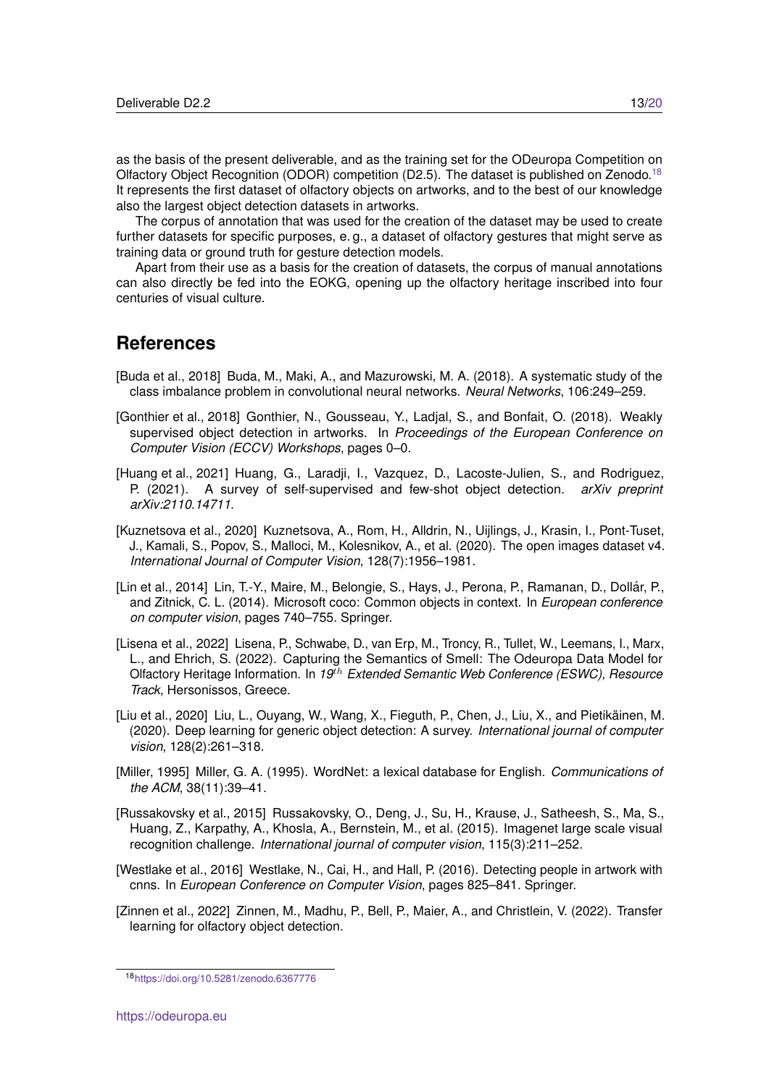as the basis of the present deliverable, and as the training set for the ODeuropa Competition on Olfactory Object Recognition (ODOR) competition (D2.5). The dataset is published on Zenodo.<sup>[18](#page-12-11)</sup> It represents the first dataset of olfactory objects on artworks, and to the best of our knowledge also the largest object detection datasets in artworks.

The corpus of annotation that was used for the creation of the dataset may be used to create further datasets for specific purposes, e. g., a dataset of olfactory gestures that might serve as training data or ground truth for gesture detection models.

Apart from their use as a basis for the creation of datasets, the corpus of manual annotations can also directly be fed into the EOKG, opening up the olfactory heritage inscribed into four centuries of visual culture.

## **References**

- <span id="page-12-4"></span>[Buda et al., 2018] Buda, M., Maki, A., and Mazurowski, M. A. (2018). A systematic study of the class imbalance problem in convolutional neural networks. *Neural Networks*, 106:249–259.
- <span id="page-12-8"></span>[Gonthier et al., 2018] Gonthier, N., Gousseau, Y., Ladjal, S., and Bonfait, O. (2018). Weakly supervised object detection in artworks. In *Proceedings of the European Conference on Computer Vision (ECCV) Workshops*, pages 0–0.
- <span id="page-12-10"></span>[Huang et al., 2021] Huang, G., Laradji, I., Vazquez, D., Lacoste-Julien, S., and Rodriguez, P. (2021). A survey of self-supervised and few-shot object detection. *arXiv preprint arXiv:2110.14711*.
- <span id="page-12-6"></span>[Kuznetsova et al., 2020] Kuznetsova, A., Rom, H., Alldrin, N., Uijlings, J., Krasin, I., Pont-Tuset, J., Kamali, S., Popov, S., Malloci, M., Kolesnikov, A., et al. (2020). The open images dataset v4. *International Journal of Computer Vision*, 128(7):1956–1981.
- <span id="page-12-2"></span>[Lin et al., 2014] Lin, T.-Y., Maire, M., Belongie, S., Hays, J., Perona, P., Ramanan, D., Dollar, P., ´ and Zitnick, C. L. (2014). Microsoft coco: Common objects in context. In *European conference on computer vision*, pages 740–755. Springer.
- <span id="page-12-0"></span>[Lisena et al., 2022] Lisena, P., Schwabe, D., van Erp, M., Troncy, R., Tullet, W., Leemans, I., Marx, L., and Ehrich, S. (2022). Capturing the Semantics of Smell: The Odeuropa Data Model for Olfactory Heritage Information. In *19*th *Extended Semantic Web Conference (ESWC), Resource Track*, Hersonissos, Greece.
- <span id="page-12-3"></span>[Liu et al., 2020] Liu, L., Ouyang, W., Wang, X., Fieguth, P., Chen, J., Liu, X., and Pietikainen, M. ¨ (2020). Deep learning for generic object detection: A survey. *International journal of computer vision*, 128(2):261–318.
- <span id="page-12-1"></span>[Miller, 1995] Miller, G. A. (1995). WordNet: a lexical database for English. *Communications of the ACM*, 38(11):39–41.
- <span id="page-12-5"></span>[Russakovsky et al., 2015] Russakovsky, O., Deng, J., Su, H., Krause, J., Satheesh, S., Ma, S., Huang, Z., Karpathy, A., Khosla, A., Bernstein, M., et al. (2015). Imagenet large scale visual recognition challenge. *International journal of computer vision*, 115(3):211–252.
- <span id="page-12-7"></span>[Westlake et al., 2016] Westlake, N., Cai, H., and Hall, P. (2016). Detecting people in artwork with cnns. In *European Conference on Computer Vision*, pages 825–841. Springer.
- <span id="page-12-9"></span>[Zinnen et al., 2022] Zinnen, M., Madhu, P., Bell, P., Maier, A., and Christlein, V. (2022). Transfer learning for olfactory object detection.

<span id="page-12-11"></span><sup>18</sup><https://doi.org/10.5281/zenodo.6367776>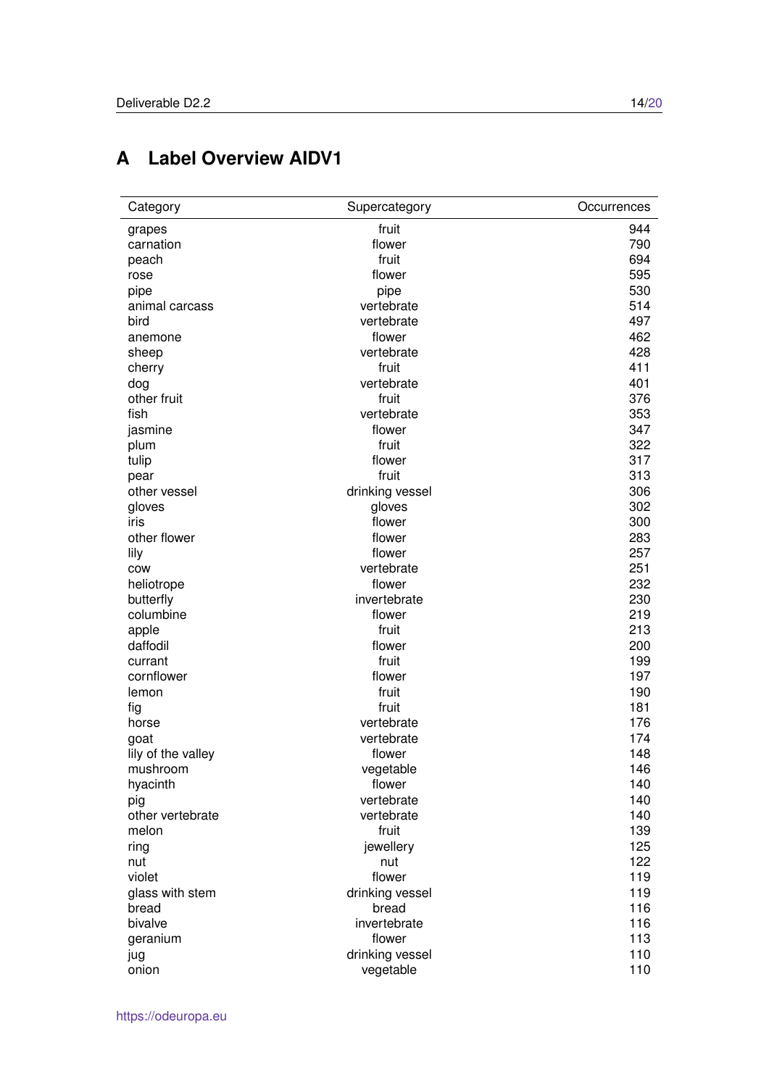# <span id="page-13-0"></span>**A Label Overview AIDV1**

| Category           | Supercategory   | Occurrences |
|--------------------|-----------------|-------------|
| grapes             | fruit           | 944         |
| carnation          | flower          | 790         |
| peach              | fruit           | 694         |
| rose               | flower          | 595         |
| pipe               | pipe            | 530         |
| animal carcass     | vertebrate      | 514         |
| bird               | vertebrate      | 497         |
| anemone            | flower          | 462         |
| sheep              | vertebrate      | 428         |
| cherry             | fruit           | 411         |
| dog                | vertebrate      | 401         |
| other fruit        | fruit           | 376         |
| fish               | vertebrate      | 353         |
| jasmine            | flower          | 347         |
| plum               | fruit           | 322         |
| tulip              | flower          | 317         |
| pear               | fruit           | 313         |
| other vessel       | drinking vessel | 306         |
| gloves             | gloves          | 302         |
| iris               | flower          | 300         |
| other flower       | flower          | 283         |
| lily               | flower          | 257         |
| COW                | vertebrate      | 251         |
| heliotrope         | flower          | 232         |
| butterfly          | invertebrate    | 230         |
| columbine          | flower          | 219         |
| apple              | fruit           | 213         |
| daffodil           | flower          | 200         |
| currant            | fruit           | 199         |
| cornflower         | flower          | 197         |
| lemon              | fruit           | 190         |
| fig                | fruit           | 181         |
| horse              | vertebrate      | 176         |
| goat               | vertebrate      | 174         |
| lily of the valley | flower          | 148         |
| mushroom           | vegetable       | 146         |
| hyacinth           | flower          | 140         |
| pig                | vertebrate      | 140         |
| other vertebrate   | vertebrate      | 140         |
| melon              | fruit           | 139         |
| ring               | jewellery       | 125         |
| nut                | nut             | 122         |
| violet             | flower          | 119         |
| glass with stem    | drinking vessel | 119         |
| bread              | bread           | 116         |
| bivalve            | invertebrate    | 116         |
| geranium           | flower          | 113         |
| jug                | drinking vessel | 110         |
| onion              | vegetable       | 110         |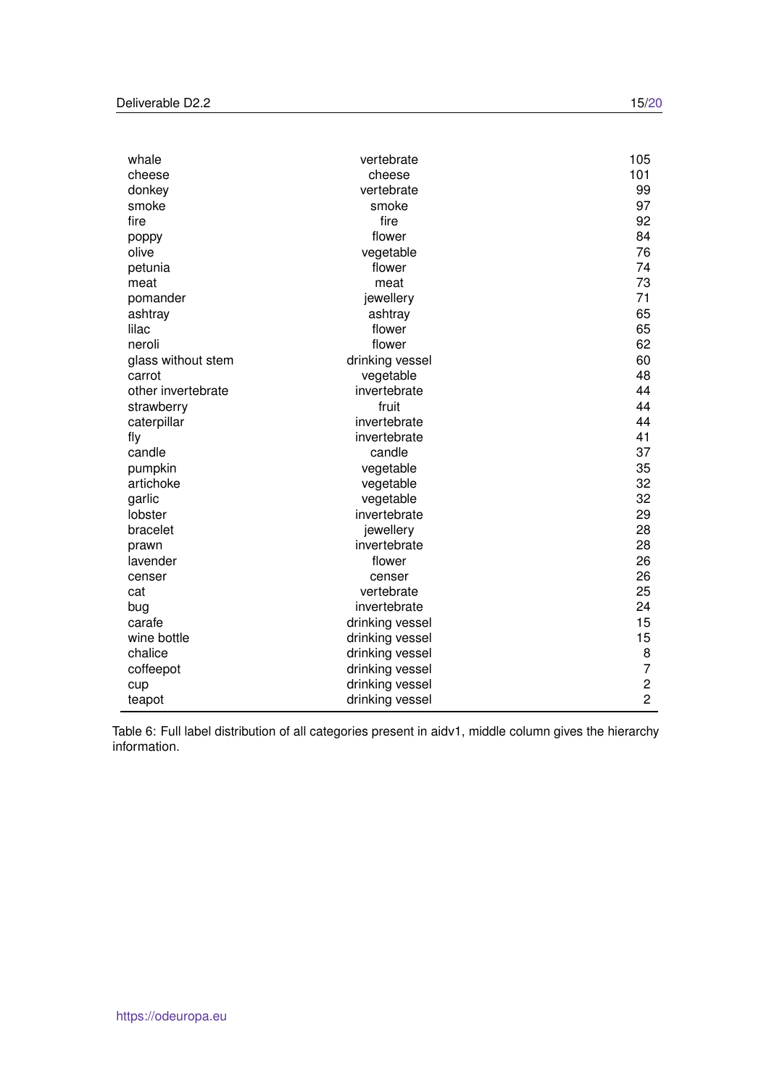| whale              | vertebrate      | 105            |
|--------------------|-----------------|----------------|
| cheese             | cheese          | 101            |
| donkey             | vertebrate      | 99             |
| smoke              | smoke           | 97             |
| fire               | fire            | 92             |
| poppy              | flower          | 84             |
| olive              | vegetable       | 76             |
| petunia            | flower          | 74             |
| meat               | meat            | 73             |
| pomander           | jewellery       | 71             |
| ashtray            | ashtray         | 65             |
| lilac              | flower          | 65             |
| neroli             | flower          | 62             |
| glass without stem | drinking vessel | 60             |
| carrot             | vegetable       | 48             |
| other invertebrate | invertebrate    | 44             |
| strawberry         | fruit           | 44             |
| caterpillar        | invertebrate    | 44             |
| fly                | invertebrate    | 41             |
| candle             | candle          | 37             |
| pumpkin            | vegetable       | 35             |
| artichoke          | vegetable       | 32             |
| garlic             | vegetable       | 32             |
| lobster            | invertebrate    | 29             |
| bracelet           | jewellery       | 28             |
| prawn              | invertebrate    | 28             |
| lavender           | flower          | 26             |
| censer             | censer          | 26             |
| cat                | vertebrate      | 25             |
| bug                | invertebrate    | 24             |
| carafe             | drinking vessel | 15             |
| wine bottle        | drinking vessel | 15             |
| chalice            | drinking vessel | 8              |
| coffeepot          | drinking vessel | 7              |
| cup                | drinking vessel | $\overline{c}$ |
| teapot             | drinking vessel | $\overline{c}$ |

Table 6: Full label distribution of all categories present in aidv1, middle column gives the hierarchy information.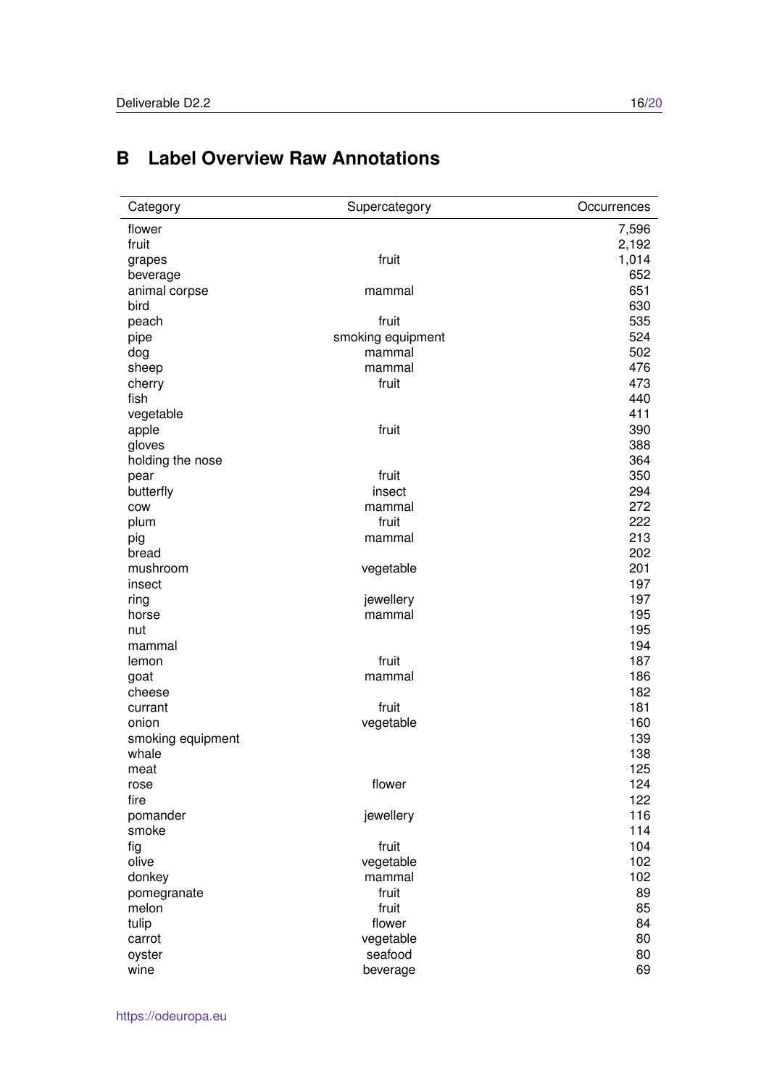<span id="page-15-0"></span>

| Category          | Supercategory     | Occurrences |
|-------------------|-------------------|-------------|
| flower            |                   | 7,596       |
| fruit             |                   | 2,192       |
| grapes            | fruit             | 1,014       |
| beverage          |                   | 652         |
| animal corpse     | mammal            | 651         |
| bird              |                   | 630         |
| peach             | fruit             | 535         |
| pipe              | smoking equipment | 524         |
| dog               | mammal            | 502         |
| sheep             | mammal            | 476         |
| cherry            | fruit             | 473         |
| fish              |                   | 440         |
| vegetable         |                   | 411         |
| apple             | fruit             | 390         |
| gloves            |                   | 388         |
| holding the nose  |                   | 364         |
| pear              | fruit             | 350         |
| butterfly         | insect            | 294         |
| COW               | mammal            | 272         |
| plum              | fruit             | 222         |
| pig               | mammal            | 213         |
| bread             |                   | 202         |
| mushroom          | vegetable         | 201         |
| insect            |                   | 197         |
| ring              | jewellery         | 197         |
| horse             | mammal            | 195         |
| nut               |                   | 195         |
| mammal            |                   | 194         |
| lemon             | fruit             | 187         |
| goat              | mammal            | 186         |
| cheese            |                   | 182         |
| currant           | fruit             | 181         |
| onion             | vegetable         | 160         |
| smoking equipment |                   | 139         |
| whale             |                   | 138         |
| meat              |                   | 125         |
| rose              | flower            | 124         |
| fire              |                   | 122         |
| pomander          | jewellery         | 116         |
| smoke             |                   | 114         |
| fig               | fruit             | 104         |
| olive             | vegetable         | 102         |
| donkey            | mammal            | 102         |
| pomegranate       | fruit             | 89          |
| melon             | fruit             | 85          |
| tulip             | flower            | 84          |
| carrot            | vegetable         | 80          |
| oyster            | seafood           | 80          |
| wine              | beverage          | 69          |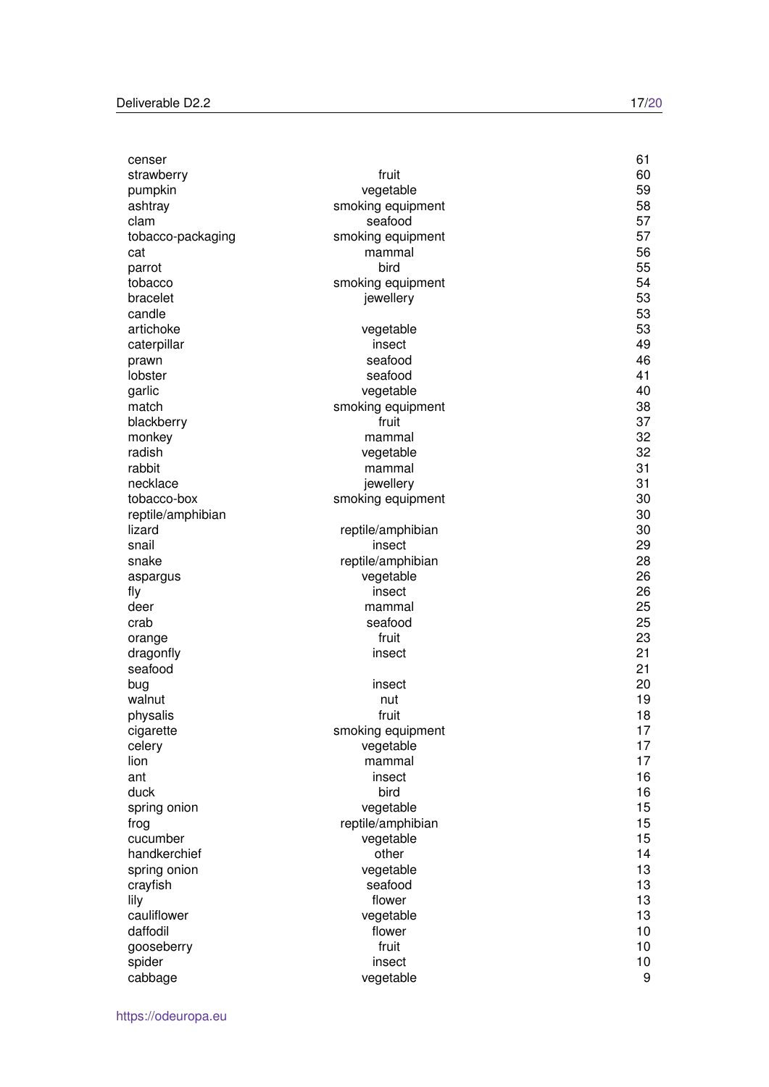| censer            |                   | 61       |
|-------------------|-------------------|----------|
| strawberry        | fruit             | 60       |
| pumpkin           | vegetable         | 59       |
| ashtray           | smoking equipment | 58       |
| clam              | seafood           | 57       |
| tobacco-packaging | smoking equipment | 57       |
| cat               | mammal            | 56       |
| parrot            | bird              | 55       |
| tobacco           | smoking equipment | 54       |
| bracelet          | jewellery         | 53       |
| candle            |                   | 53       |
| artichoke         | vegetable         | 53       |
| caterpillar       | insect            | 49       |
| prawn             | seafood           | 46       |
| lobster           | seafood           | 41       |
| garlic            | vegetable         | 40       |
| match             | smoking equipment | 38       |
| blackberry        | fruit             | 37       |
| monkey            | mammal            | 32       |
| radish            | vegetable         | 32       |
| rabbit            | mammal            | 31       |
| necklace          | jewellery         | 31       |
| tobacco-box       | smoking equipment | 30       |
| reptile/amphibian |                   | 30       |
| lizard            | reptile/amphibian | 30       |
| snail             | insect            | 29       |
| snake             |                   | 28       |
|                   | reptile/amphibian | 26       |
| aspargus          | vegetable         | 26       |
| fly               | insect            |          |
| deer              | mammal            | 25       |
| crab              | seafood           | 25       |
| orange            | fruit             | 23       |
| dragonfly         | insect            | 21<br>21 |
| seafood           |                   |          |
| bug               | insect            | 20       |
| walnut            | nut               | 19       |
| physalis          | fruit             | 18       |
| cigarette         | smoking equipment | 17       |
| celery            | vegetable         | 17       |
| lion              | mammal            | 17       |
| ant               | insect            | 16       |
| duck              | bird              | 16       |
| spring onion      | vegetable         | 15       |
| frog              | reptile/amphibian | 15       |
| cucumber          | vegetable         | 15       |
| handkerchief      | other             | 14       |
| spring onion      | vegetable         | 13       |
| crayfish          | seafood           | 13       |
| lily              | flower            | 13       |
| cauliflower       | vegetable         | 13       |
| daffodil          | flower            | 10       |
| gooseberry        | fruit             | 10       |
| spider            | insect            | 10       |
| cabbage           | vegetable         | 9        |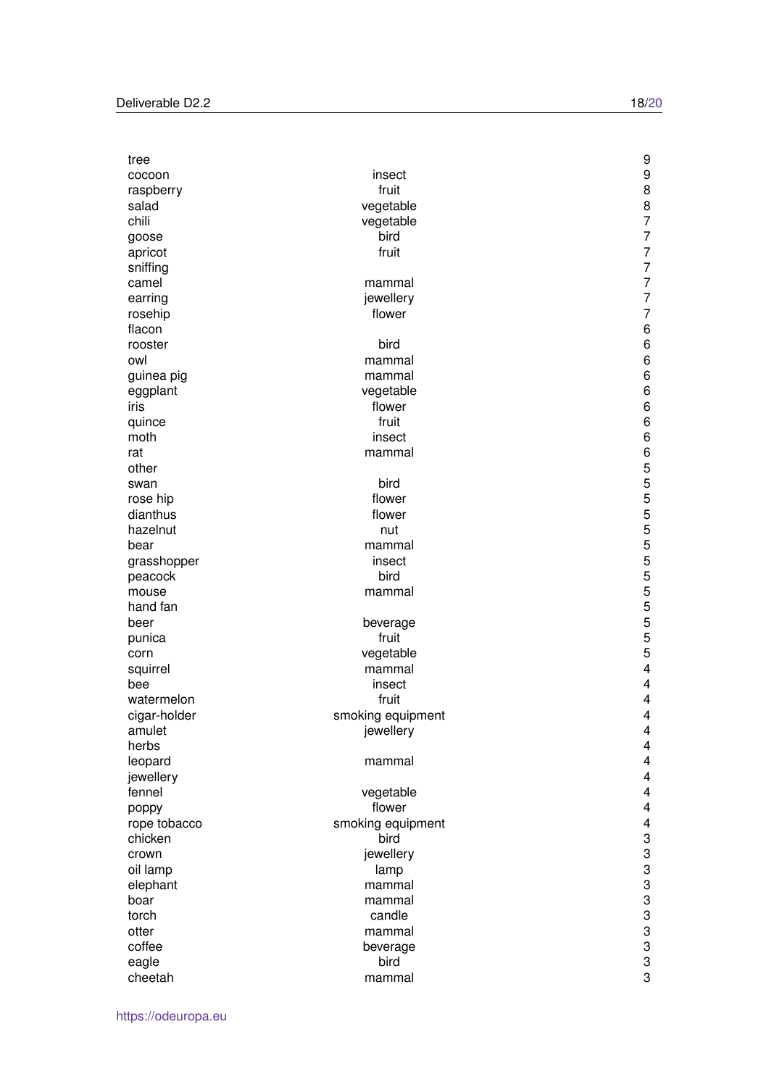| tree              |                   | 9                         |
|-------------------|-------------------|---------------------------|
| cocoon            | insect            | 9                         |
| raspberry         | fruit             | 8                         |
| salad             | vegetable         | 8                         |
| chili             | vegetable         | $\overline{7}$            |
| goose             | bird              | $\overline{7}$            |
| apricot           | fruit             | $\overline{7}$            |
| sniffing          |                   | $\overline{7}$            |
| camel             | mammal            | $\overline{7}$            |
| earring           | jewellery         | $\overline{7}$            |
| rosehip           | flower            | $\overline{7}$            |
| flacon            |                   | 6                         |
| rooster           | bird              | 6                         |
| owl               | mammal            | 6                         |
| guinea pig        | mammal            | 6                         |
| eggplant          | vegetable         | 6                         |
| iris              | flower            | 6                         |
| quince            | fruit             | 6                         |
| moth              | insect            | 6                         |
| rat               | mammal            | $\,6$                     |
| other             |                   | $\sqrt{5}$                |
| swan              | bird              | 5                         |
| rose hip          | flower            | 5                         |
| dianthus          | flower            | 5                         |
| hazelnut          | nut               | 5                         |
| bear              | mammal            | 5                         |
| grasshopper       | insect            | 5                         |
| peacock           | bird              | 5                         |
|                   |                   | 5                         |
| mouse<br>hand fan | mammal            | 5                         |
|                   |                   | 5                         |
| beer              | beverage          | 5                         |
| punica            | fruit             | $\sqrt{5}$                |
| corn              | vegetable         | $\overline{\mathbf{4}}$   |
| squirrel          | mammal            | 4                         |
| bee               | insect            |                           |
| watermelon        | fruit             | 4                         |
| cigar-holder      | smoking equipment | 4                         |
| amulet            | jewellery         | 4                         |
| herbs             |                   | 4                         |
| leopard           | mammal            | 4                         |
| jewellery         |                   | 4                         |
| fennel            | vegetable         | 4                         |
| poppy             | flower            | 4                         |
| rope tobacco      | smoking equipment | $\overline{\mathbf{4}}$   |
| chicken           | bird              | $\ensuremath{\mathsf{3}}$ |
| crown             | jewellery         | 3                         |
| oil lamp          | lamp              | 3                         |
| elephant          | mammal            | 3                         |
| boar              | mammal            | 3                         |
| torch             | candle            | 3                         |
| otter             | mammal            | 3                         |
| coffee            | beverage          | 3                         |
| eagle             | bird              | 3                         |
| cheetah           | mammal            | 3                         |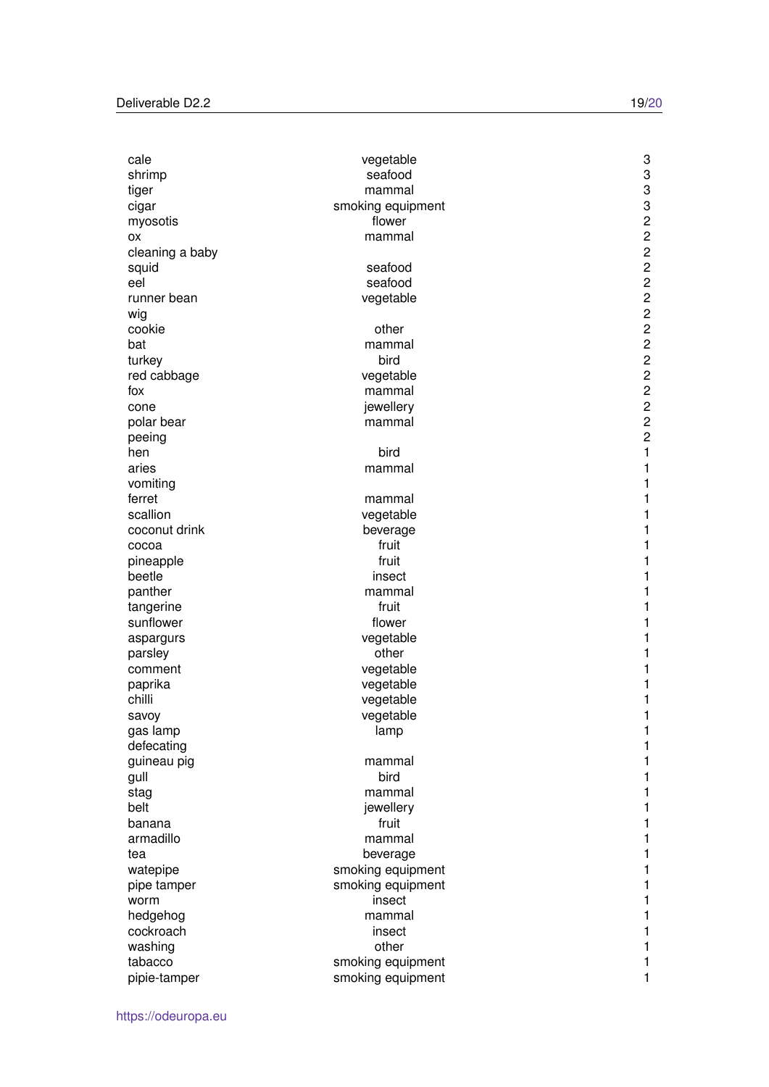| cale                 | vegetable         | 3                       |
|----------------------|-------------------|-------------------------|
| shrimp               | seafood           | 3                       |
| tiger                | mammal            | 3                       |
| cigar                | smoking equipment | 3                       |
| myosotis             | flower            | $\mathbf 2$             |
| ΟХ                   | mammal            | $\overline{c}$          |
| cleaning a baby      |                   | $\overline{c}$          |
| squid                | seafood           | $\overline{c}$          |
| eel                  | seafood           | $\overline{c}$          |
| runner bean          | vegetable         | $\overline{c}$          |
| wig                  |                   | $\overline{c}$          |
| cookie               | other             | $\overline{c}$          |
| bat                  | mammal            | $\overline{c}$          |
| turkey               | bird              | $\overline{c}$          |
| red cabbage          | vegetable         | $\overline{c}$          |
| fox                  | mammal            | $\overline{c}$          |
| cone                 | jewellery         | $\overline{\mathbf{c}}$ |
| polar bear           | mammal            | $\overline{c}$          |
| peeing               |                   | $\overline{c}$          |
| hen                  | bird              | $\mathbf{1}$            |
| aries                | mammal            | 1                       |
| vomiting             |                   | 1                       |
| ferret               | mammal            | 1                       |
| scallion             | vegetable         | 1                       |
| coconut drink        | beverage          | 1                       |
| cocoa                | fruit             | 1                       |
| pineapple            | fruit             | 1                       |
| beetle               | insect            | 1                       |
| panther              | mammal            | 1                       |
| tangerine            | fruit             | 1                       |
| sunflower            | flower            | 1                       |
|                      | vegetable         | 1                       |
| aspargurs<br>parsley | other             | 1                       |
| comment              | vegetable         | 1                       |
| paprika              | vegetable         | 1                       |
| chilli               | vegetable         | 1                       |
|                      |                   | 1                       |
| savoy                | vegetable         |                         |
| gas lamp             | lamp              | 1                       |
| defecating           |                   | 1                       |
| guineau pig          | mammal<br>bird    | 1                       |
| gull                 |                   | 1                       |
| stag                 | mammal            | 1                       |
| belt                 | jewellery         | 1                       |
| banana               | fruit             | 1                       |
| armadillo            | mammal            | 1                       |
| tea                  | beverage          | 1                       |
| watepipe             | smoking equipment | 1                       |
| pipe tamper          | smoking equipment | 1                       |
| worm                 | insect            | 1                       |
| hedgehog             | mammal            | 1                       |
| cockroach            | insect            | 1                       |
| washing              | other             | 1                       |
| tabacco              | smoking equipment | 1                       |
| pipie-tamper         | smoking equipment | 1                       |